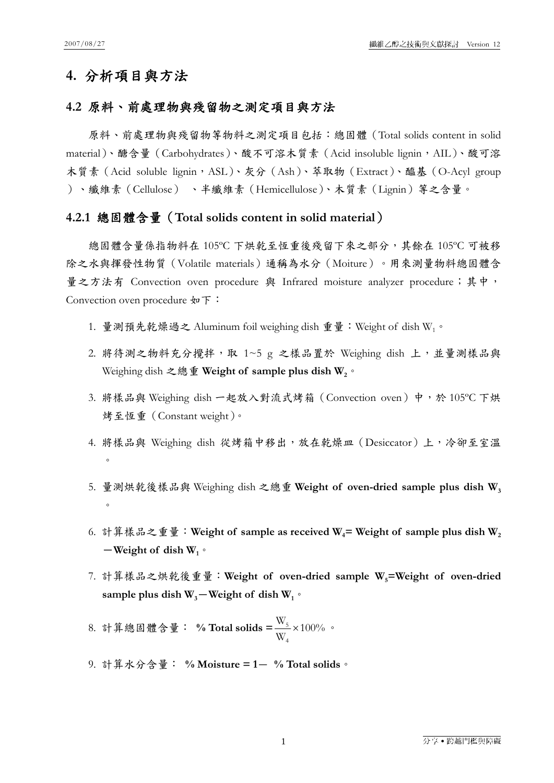# **4.** 分析項目與方法

## **4.2** 原料、前處理物與殘留物之測定項目與方法

原料、前處理物與殘留物等物料之測定項目包括:總固體(Total solids content in solid material)、醣含量 (Carbohydrates)、酸不可溶木質素 (Acid insoluble lignin, AIL)、酸可溶 木質素 (Acid soluble lignin, ASL)、灰分 (Ash)、萃取物 (Extract)、醯基(O-Acyl group )、纖維素(Cellulose) 、半纖維素(Hemicellulose)、木質素(Lignin)等之含量。

#### **4.2.1** 總固體含量(**Total solids content in solid material**)

總固體含量係指物料在 105ºC 下烘乾至恆重後殘留下來之部分,其餘在 105ºC 可被移 除之水與揮發性物質(Volatile materials)通稱為水分(Moiture)。用來測量物料總固體含 量之方法有 Convection oven procedure 與 Infrared moisture analyzer procedure;其中, Convection oven procedure 如下:

- 1. 量測預先乾燥過之 Aluminum foil weighing dish 重量:Weight of dish W1。
- 2. 將待測之物料充分攪拌,取 1~5 g 之樣品置於 Weighing dish 上,並量測樣品與 Weighing dish 之總重 Weight of sample plus dish W<sub>2</sub>。
- 3. 將樣品與 Weighing dish 一起放入對流式烤箱 (Convection oven) 中,於 105℃下烘 烤至恆重(Constant weight)。
- 4. 將樣品與 Weighing dish 從烤箱中移出,放在乾燥皿 (Desiccator)上,冷卻至室溫  $\circ$
- 5. 量測烘乾後樣品與 Weighing dish 之總重 **Weight of oven-dried sample plus dish W3**  $\circ$
- 6. 計算樣品之重量: Weight of sample as received W<sub>4</sub> = Weight of sample plus dish W<sub>2</sub>  $-\text{Weight of dish }W_1$ <sup>o</sup>
- 7. 計算樣品之烘乾後重量: Weight of oven-dried sample W<sub>5</sub>=Weight of oven-dried sample plus dish  $W_3$ -Weight of dish  $W_1$ <sup>o</sup>

8. 計算總固體含量: % Total solids = <del>...</del> × 100% W W 4  $\frac{5}{5} \times 100\%$  .

9. 計算水分含量: **% Moisture = 1**- **% Total solids**。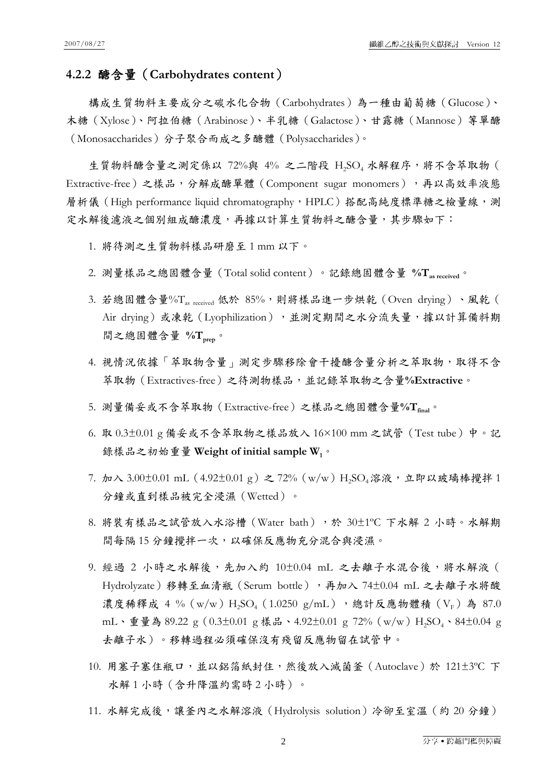## **4.2.2** 醣含量(**Carbohydrates content**)

構成生質物料主要成分之碳水化合物(Carbohydrates)為一種由葡萄糖(Glucose)、 木糖(Xylose)、阿拉伯糖(Arabinose)、半乳糖(Galactose)、甘露糖(Mannose)等單醣 (Monosaccharides)分子聚合而成之多醣體(Polysaccharides)。

生質物料醣含量之測定係以 72%與 4% 之二階段 H2SO4 水解程序,將不含萃取物 ( Extractive-free)之樣品,分解成醣單體(Component sugar monomers),再以高效率液態 層析儀 (High performance liquid chromatography, HPLC)搭配高純度標準糖之檢量線,測 定水解後濾液之個別組成醣濃度,再據以計算生質物料之醣含量,其步驟如下:

- 1. 將待測之生質物料樣品研磨至 1 mm 以下。
- 2. 測量樣品之總固體含量(Total solid content)。記錄總固體含量 **%Tas received**。
- $3.$  若總固體含量% $T_{as\ received}$  低於  $85\%$ , 則將樣品進一步烘乾  $(Oven\ drying)$ 、風乾  $(Oven\ drying)$ Air drying)或凍乾 (Lyophilization),並測定期間之水分流失量,據以計算備料期 間之總固體含量 **%Tprep**。
- 4. 視情況依據「萃取物含量」測定步驟移除會干擾醣含量分析之萃取物,取得不含 萃取物(Extractives-free)之待測物樣品,並記錄萃取物之含量**%Extractive**。
- 5. 測量備妥或不含萃取物 (Extractive-free) 之樣品之總固體含量%T<sub>final</sub>。
- 6. 取 0.3±0.01 g 備妥或不含萃取物之樣品放入 16×100 mm 之試管(Test tube)中。記 錄樣品之初始重量 **Weight of initial sample W1**。
- 7. 加入 3.00±0.01 mL (4.92±0.01 g) 之 72% (w/w) H<sub>2</sub>SO<sub>4</sub>溶液,立即以玻璃棒攪拌 1 分鐘或直到樣品被完全浸濕(Wetted)。
- 8. 將裝有樣品之試管放入水浴槽 (Water bath),於 30±1℃ 下水解 2 小時。水解期 間每隔15分鐘攪拌一次,以確保反應物充分混合與浸濕。
- 9. 經過 2 小時之水解後,先加入約 10±0.04 mL 之去離子水混合後,將水解液 ( Hydrolyzate)移轉至血清瓶 (Serum bottle),再加入 74±0.04 mL 之去離子水將酸 濃度稀釋成 4 % (w/w) H<sub>2</sub>SO<sub>4</sub> (1.0250 g/mL), 總計反應物體積 (VF)為 87.0 mL、重量為 89.22 g (0.3±0.01 g 樣品、4.92±0.01 g 72% (w/w) H<sub>2</sub>SO<sub>4</sub>、84±0.04 g 去離子水)。移轉過程必須確保沒有殘留反應物留在試管中。
- 10. 用塞子塞住瓶口,並以鋁箔紙封住,然後放入滅菌釜(Autoclave)於 121±3ºC 下 水解1小時(含升降溫約需時2小時)。
- 11. 水解完成後,讓釜內之水解溶液 (Hydrolysis solution) 冷卻至室溫 (約 20 分鐘)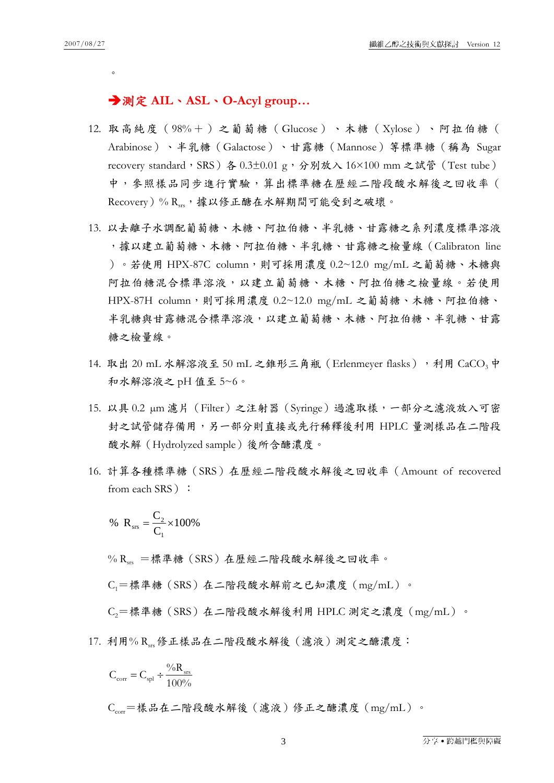$\circ$ 

## 測定 **AIL**、**ASL**、**O-Acyl group…**

- 12. 取高純度(98%+)之葡萄糖(Glucose)、木糖(Xylose)、阿拉伯糖( Arabinose)、半乳糖(Galactose)、甘露糖(Mannose)等標準糖(稱為 Sugar recovery standard, SRS) 各 0.3±0.01 g,分別放入 16×100 mm 之試管 (Test tube) 中,參照樣品同步進行實驗,算出標準糖在歷經二階段酸水解後之回收率( Recovery)% Rsrs,據以修正醣在水解期間可能受到之破壞。
- 13. 以去離子水調配葡萄糖、木糖、阿拉伯糖、半乳糖、甘露糖之系列濃度標準溶液 ,據以建立葡萄糖、木糖、阿拉伯糖、半乳糖、甘露糖之檢量線(Calibraton line )。若使用 HPX-87C column,則可採用濃度 0.2~12.0 mg/mL 之葡萄糖、木糖與 阿拉伯糖混合標準溶液,以建立葡萄糖、木糖、阿拉伯糖之檢量線。若使用 HPX-87H column,則可採用濃度 0.2~12.0 mg/mL 之葡萄糖、木糖、阿拉伯糖、 半乳糖與甘露糖混合標準溶液,以建立葡萄糖、木糖、阿拉伯糖、半乳糖、甘露 糖之檢量線。
- 14. 取出 20 mL 水解溶液至 50 mL 之錐形三角瓶 (Erlenmeyer flasks),利用 CaCO<sub>3</sub>中 和水解溶液之 pH 值至 5~6。
- 15. 以具 0.2 µm 濾片(Filter)之注射器(Syringe)過濾取樣,一部分之濾液放入可密 封之試管儲存備用,另一部分則直接或先行稀釋後利用 HPLC 量測樣品在二階段 酸水解(Hydrolyzed sample)後所含醣濃度。
- 16. 計算各種標準糖(SRS)在歷經二階段酸水解後之回收率(Amount of recovered from each SRS ) :

% 
$$
R_{\text{srs}} = \frac{C_2}{C_1} \times 100\%
$$

% Rug =標準糖(SRS)在歷經二階段酸水解後之回收率。

C1=標準糖(SRS)在二階段酸水解前之已知濃度(mg/mL)。

C2=標準糖(SRS)在二階段酸水解後利用 HPLC 測定之濃度(mg/mL)。

17. 利用% R、。修正樣品在二階段酸水解後(濾液)測定之醣濃度:

$$
C_{\rm corr} = C_{\rm spl} \div \frac{\text{\%R}_{\rm srs}}{\text{100\%}}
$$

Ccorr=樣品在二階段酸水解後(濾液)修正之醣濃度(mg/mL)。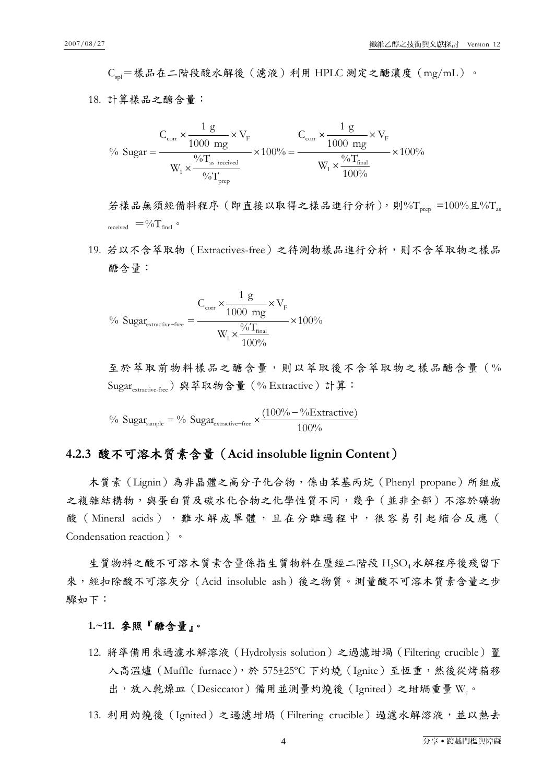Cspl=樣品在二階段酸水解後(濾液)利用 HPLC 測定之醣濃度(mg/mL)。

18. 計算樣品之醣含量:

$$
\% \text{ sugar} = \frac{C_{\text{corr}} \times \frac{1 \text{ g}}{1000 \text{ mg}} \times V_{\text{F}}}{W_{1} \times \frac{\frac{9}{0}T_{\text{as received}}}{\frac{9}{0}T_{\text{prep}}} \times 100\% = \frac{C_{\text{corr}} \times \frac{1 \text{ g}}{1000 \text{ mg}} \times V_{\text{F}}}{W_{1} \times \frac{\frac{9}{0}T_{\text{final}}}{100\%}} \times 100\%
$$

若樣品無須經備料程序(即直接以取得之樣品進行分析),則%T<sub>prep</sub> =100%且%T<sub>as</sub> received  $=$  % $T_{\text{final}}$   $\circ$ 

19. 若以不含萃取物(Extractives-free)之待測物樣品進行分析,則不含萃取物之樣品 醣含量:

$$
\% \ \text{Sugar}_{\text{extractive-free}} = \frac{C_{\text{corr}} \times \frac{1 \text{ g}}{1000 \text{ mg}} \times V_{\text{F}}}{W_{\text{1}} \times \frac{\frac{9}{0} \text{T}_{\text{final}}}{100\%}} \times 100\%
$$

至於萃取前物料樣品之醣含量,則以萃取後不含萃取物之樣品醣含量(% Sugarextractive-free)與萃取物含量(% Extractive)計算:

<sup>9</sup>% Sugar<sub>sample</sub> = <sup>9</sup>% Sugar<sub>extractive-free</sub> 
$$
\times \frac{(100\% - \%E \times \text{tractive})}{100\%}
$$

## **4.2.3** 酸不可溶木質素含量(**Acid insoluble lignin Content**)

木質素 (Lignin)為非晶體之高分子化合物,係由苯基丙烷 (Phenyl propane) 所組成 之複雜結構物,與蛋白質及碳水化合物之化學性質不同,幾乎(並非全部)不溶於礦物 酸(Mineral acids), 難水解成單體,且在分離過程中,很容易引起縮合反應( Condensation reaction)。

生質物料之酸不可溶木質素含量係指生質物料在歷經二階段 H,SO4水解程序後殘留下 來,經扣除酸不可溶灰分(Acid insoluble ash)後之物質。測量酸不可溶木質素含量之步 驟如下:

## **1.~11.** 參照『醣含量』。

12. 將準備用來過濾水解溶液(Hydrolysis solution)之過濾坩堝(Filtering crucible)置 入高溫爐(Muffle furnace),於 575±25ºC 下灼燒(Ignite)至恆重,然後從烤箱移 出,放入乾燥皿 (Desiccator) 備用並測量灼燒後 (Ignited) 之坩堝重量 W.。

13. 利用灼燒後 (Ignited) 之過濾坩堝 (Filtering crucible) 過濾水解溶液,並以熱去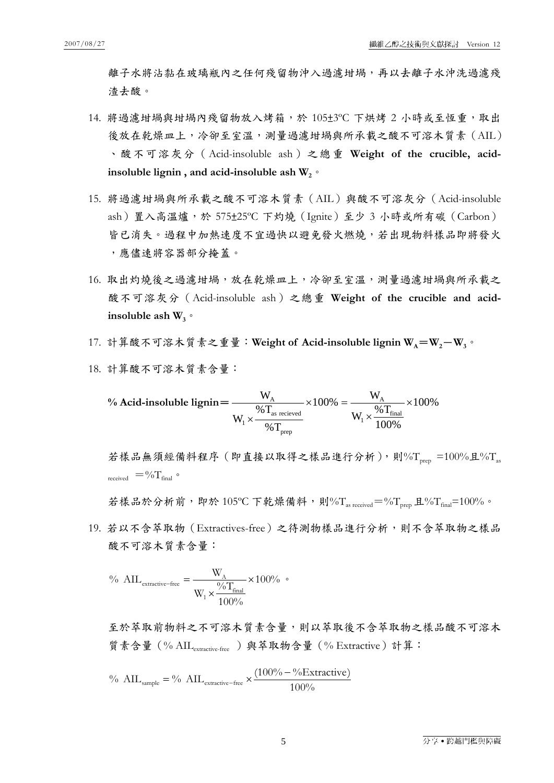離子水將沾黏在玻璃瓶內之任何殘留物沖入過濾坩堝,再以去離子水沖洗過濾殘 渣去酸。

- 14. 將過濾坩堝與坩堝內殘留物放入烤箱,於 105±3℃ 下烘烤 2 小時或至恆重,取出 後放在乾燥皿上,冷卻至室溫,測量過濾坩堝與所承載之酸不可溶木質素(AIL) 、酸不可溶灰分(Acid-insoluble ash)之總重 **Weight of the crucible, acid**insoluble lignin, and acid-insoluble ash  $W_2$ <sup> $\circ$ </sup>
- 15. 將過濾坩堝與所承載之酸不可溶木質素(AIL)與酸不可溶灰分(Acid-insoluble ash)置入高溫爐,於 575±25ºC 下灼燒(Ignite)至少 3 小時或所有碳(Carbon) 皆已消失。過程中加熱速度不宜過快以避免發火燃燒,若出現物料樣品即將發火 ,應儘速將容器部分掩蓋。
- 16. 取出灼燒後之過濾坩堝,放在乾燥皿上,冷卻至室溫,測量過濾坩堝與所承載之 酸不可溶灰分(Acid-insoluble ash)之總重 **Weight of the crucible and acid**insoluble ash  $W_3$ <sup> $\circ$ </sup>
- 17. 計算酸不可溶木質素之重量: Weight of Acid-insoluble lignin W<sub>A</sub>=W<sub>2</sub>-W<sub>3</sub>。
- 18. 計算酸不可溶木質素含量:

$$
\% \text{ Acid-insoluble lignin} = \frac{W_{A}}{W_{1} \times \frac{\% T_{\text{as received}}}{\% T_{\text{prep}}}} \times 100\% = \frac{W_{A}}{W_{1} \times \frac{\% T_{\text{final}}}{100\%}} \times 100\%
$$

若樣品無須經備料程序 (即直接以取得之樣品進行分析),則%Trep =100%且%T received  $=$  % $T_{\text{final}}$   $\circ$ 

若樣品於分析前,即於 105°C 下乾燥備料,則%T<sub>as received</sub>=%T<sub>prep</sub> 且%T<sub>final</sub>=100%。

19. 若以不含萃取物(Extractives-free)之待測物樣品進行分析,則不含萃取物之樣品 酸不可溶木質素含量:

$$
\% \ \ {\rm AIL}_{\rm extractive-free} = \frac{W_{\rm A}}{W_1 \times \frac{\frac{9}{6}T_{\rm final}}{100\%}} \times 100\% \ \ ^{\circ}
$$

至於萃取前物料之不可溶木質素含量,則以萃取後不含萃取物之樣品酸不可溶木 質素含量(% AILextractive-free )與萃取物含量(% Extractive)計算:

<sup>9</sup>/<sub>o</sub> 
$$
\text{AIL}_{\text{sample}} = \frac{9}{o}
$$
  $\text{AIL}_{\text{extractive-free}} \times \frac{(100\% - \frac{9}{6} \text{Extractive})}{100\%}$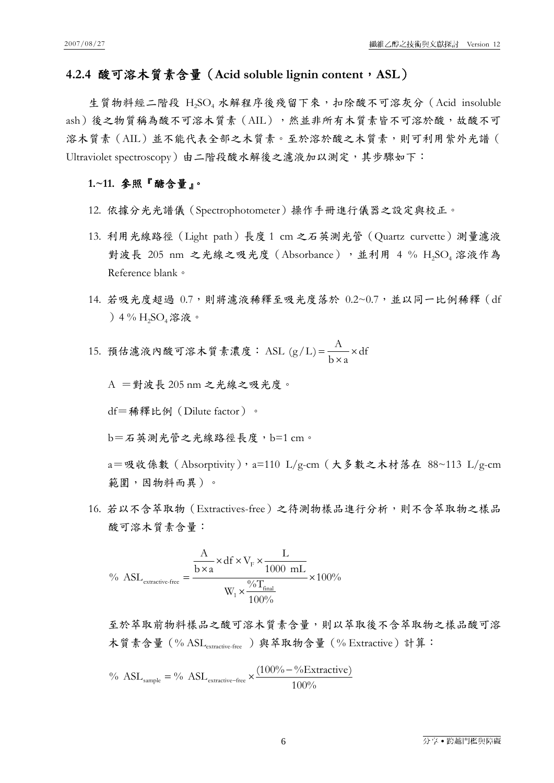#### **4.2.4** 酸可溶木質素含量(**Acid soluble lignin content**,**ASL**)

生質物料經二階段 H,SO4 水解程序後殘留下來, 扣除酸不可溶灰分 (Acid insoluble ash)後之物質稱為酸不可溶木質素(AIL),然並非所有木質素皆不可溶於酸,故酸不可 溶木質素(AIL)並不能代表全部之木質素。至於溶於酸之木質素,則可利用紫外光譜( Ultraviolet spectroscopy)由二階段酸水解後之濾液加以測定,其步驟如下:

#### **1.~11.** 參照『醣含量』。

- 12. 依據分光光譜儀(Spectrophotometer)操作手冊進行儀器之設定與校正。
- 13. 利用光線路徑(Light path)長度 1 cm 之石英測光管(Quartz curvette)測量濾液 對波長 205 nm 之光線之吸光度 (Absorbance),並利用 4 % H2SO4 溶液作為 Reference blank。
- 14. 若吸光度超過 0.7,則將濾液稀釋至吸光度落於 0.2~0.7,並以同一比例稀釋 (df )4 % H2SO4溶液。

15. 狩信诬波內酸可済木質素漢度:ASL (g/L) = 
$$
\frac{A}{b \times a} \times df
$$

A =對波長 205 nm 之光線之吸光度。

df=稀釋比例(Dilute factor)。

b=石英測光管之光線路徑長度,b=1 cm。

a=吸收係數(Absorptivity),a=110 L/g-cm(大多數之木材落在 88~113 L/g-cm 範圍,因物料而異)。

16. 若以不含萃取物(Extractives-free)之待測物樣品進行分析,則不含萃取物之樣品 酸可溶木質素含量:

$$
\% \ \ ASL_{\text{extractive-free}} = \frac{\frac{A}{b \times a} \times df \times V_{\text{F}} \times \frac{L}{1000 \ \text{mL}}}{W_{\text{I}} \times \frac{\frac{9}{6} T_{\text{final}}}{100\%}} \times 100\%
$$

至於萃取前物料樣品之酸可溶木質素含量,則以萃取後不含萃取物之樣品酸可溶 木質素含量 (% ASL<sub>extractive-free</sub>) 與萃取物含量 (% Extractive) 計算:

<sup>9</sup>/<sub>o</sub> ASL<sub>sample</sub> = <sup>9</sup>/<sub>o</sub> ASL<sub>extractive-free</sub> 
$$
\times \frac{(100\% - \frac{9}{6}Extactive)}{100\%}
$$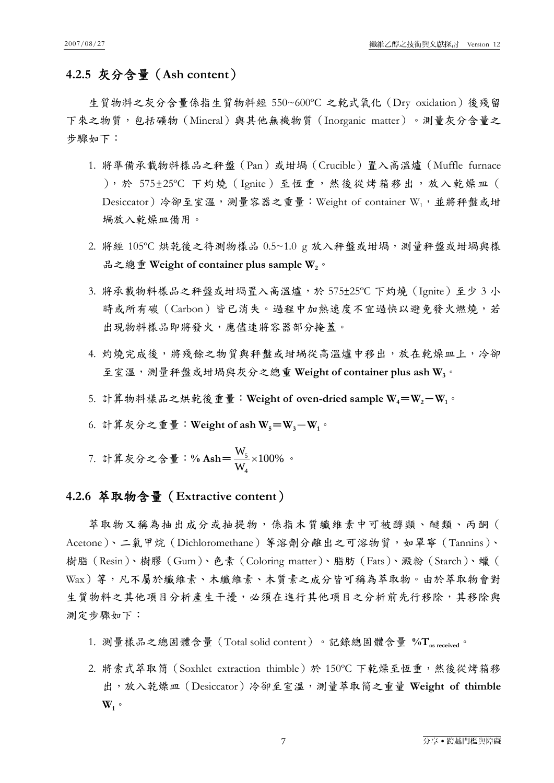## **4.2.5** 灰分含量(**Ash content**)

生質物料之灰分含量係指生質物料經 550~600ºC 之乾式氧化(Dry oxidation)後殘留 下來之物質,包括礦物(Mineral)與其他無機物質(Inorganic matter)。測量灰分含量之 步驟如下:

- 1. 將準備承載物料樣品之秤盤(Pan)或坩堝(Crucible)置入高溫爐(Muffle furnace ),於 575±25℃ 下灼燒 (Ignite) 至恆重,然後從烤箱移出,放入乾燥皿 ( Desiccator)冷卻至室溫,測量容器之重量: Weight of container W1, 並將秤盤或坩 堝放入乾燥皿備用。
- 2. 將經 105℃ 烘乾後之待測物樣品 0.5~1.0 g 放入秤盤或坩堝,測量秤盤或坩堝與樣 品之總重 Weight of container plus sample W<sub>2</sub>。
- 3. 將承載物料樣品之秤盤或坩堝置入高溫爐,於 575±25ºC 下灼燒(Ignite)至少 3 小 時或所有碳(Carbon)皆已消失。過程中加熱速度不宜過快以避免發火燃燒,若 出現物料樣品即將發火,應儘速將容器部分掩蓋。
- 4. 灼燒完成後,將殘餘之物質與秤盤或坩堝從高溫爐中移出,放在乾燥皿上,冷卻 至室溫,測量秤盤或坩堝與灰分之總重 **Weight of container plus ash W3**。
- 5. 計算物料樣品之烘乾後重量: Weight of oven-dried sample  $W_4 = W_2 W_1$ 。
- 6. 計算灰分之重量: Weight of ash  $W_5 = W_3 W_1$ 。
- 7. 計算灰分之含量:% Ash= $\frac{11}{111} \times 100\%$ W W 4  $\frac{5}{5} \times 100\%$  .

## **4.2.6** 萃取物含量(**Extractive content**)

萃取物又稱為抽出成分或抽提物,係指木質纖維素中可被醇類、醚類、丙酮( Acetone)、二氯甲烷(Dichloromethane)等溶劑分離出之可溶物質,如單寧(Tannins)、 樹脂(Resin)、樹膠(Gum)、色素(Coloring matter)、脂肪(Fats)、澱粉(Starch)、蠟( Wax)等,凡不屬於纖維素、木纖維素、木質素之成分皆可稱為萃取物。由於萃取物會對 生質物料之其他項目分析產生干擾,必須在進行其他項目之分析前先行移除,其移除與 測定步驟如下:

- 1. 測量樣品之總固體含量(Total solid content)。記錄總固體含量 %T<sub>as received</sub>。
- 2. 將索式萃取筒 (Soxhlet extraction thimble) 於 150℃ 下乾燥至恆重,然後從烤箱移 出,放入乾燥皿(Desiccator)冷卻至室溫,測量萃取筒之重量 **Weight of thimble**   $W_1$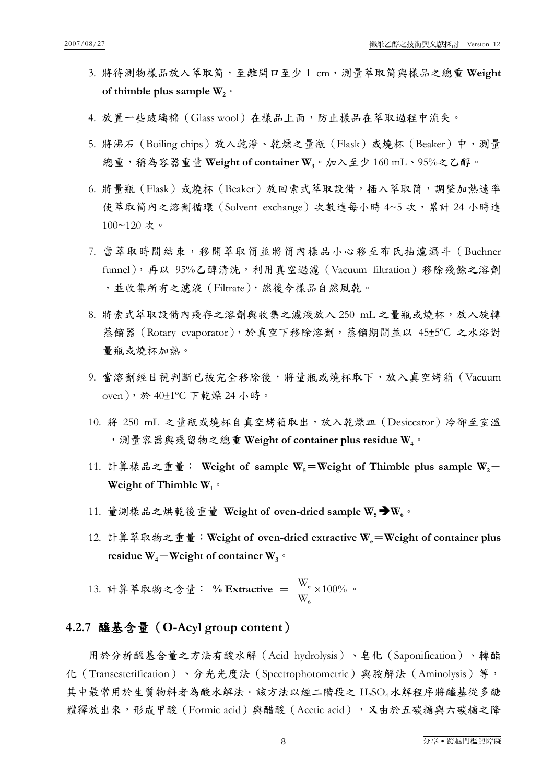- 3. 將待測物樣品放入萃取筒,至離開口至少 1 cm,測量萃取筒與樣品之總重 **Weight**  of thimble plus sample  $W_2$ <sup>o</sup>
- 4. 放置一些玻璃棉 (Glass wool) 在樣品上面,防止樣品在萃取過程中流失。
- 5. 將沸石 (Boiling chips) 放入乾淨、乾燥之量瓶 (Flask) 或燒杯 (Beaker) 中,測量 總重,稱為容器重量 **Weight of container W3**。加入至少 160 mL、95%之乙醇。
- 6. 將量瓶(Flask)或燒杯(Beaker)放回索式萃取設備,插入萃取筒,調整加熱速率 使萃取筒內之溶劑循環(Solvent exchange)次數達每小時 4~5 次,累計 24 小時達 100~120 次。
- 7. 當萃取時間結束,移開萃取筒並將筒內樣品小心移至布氏抽濾漏斗 (Buchner funnel),再以 95%乙醇清洗,利用真空過濾(Vacuum filtration)移除殘餘之溶劑 ,並收集所有之濾液(Filtrate),然後令樣品自然風乾。
- 8. 將索式萃取設備內殘存之溶劑與收集之濾液放入 250 mL 之量瓶或燒杯,放入旋轉 蒸餾器(Rotary evaporator),於真空下移除溶劑,蒸餾期間並以 45±5ºC 之水浴對 量瓶或燒杯加熱。
- 9. 當溶劑經目視判斷已被完全移除後,將量瓶或燒杯取下,放入真空烤箱 (Vacuum oven),於 40±1ºC 下乾燥 24 小時。
- 10. 將 250 mL 之量瓶或燒杯自真空烤箱取出,放入乾燥皿(Desiccator)冷卻至室溫 ,測量容器與殘留物之總重 **Weight of container plus residue W4**。
- 11. 計算樣品之重量: Weight of sample W<sub>5</sub>=Weight of Thimble plus sample W<sub>2</sub>-Weight of Thimble W<sub>1</sub><sup>o</sup>
- 11. 量測樣品之烘乾後重量 Weight of oven-dried sample W<sub>5</sub> → W<sub>6</sub>。
- 12. 計算萃取物之重量: Weight of oven-dried extractive W<sub>e</sub>=Weight of container plus **residue W<sub>4</sub>-Weight of container W<sub>3</sub>**。

13. 計算萃取物之含量: % Extractive =  $\frac{W_e}{W} \times 100\%$ W W 6  $\frac{e}{2} \times 100\%$  .

#### **4.2.7** 醯基含量(**O-Acyl group content**)

用於分析醯基含量之方法有酸水解(Acid hydrolysis)、皂化(Saponification)、轉酯 化 (Transesterification)、分光光度法 (Spectrophotometric) 與胺解法 (Aminolysis) 等, 其中最常用於生質物料者為酸水解法。該方法以經二階段之 H2SO4水解程序將醯基從多醣 體釋放出來,形成甲酸(Formic acid)與醋酸(Acetic acid),又由於五碳糖與六碳糖之降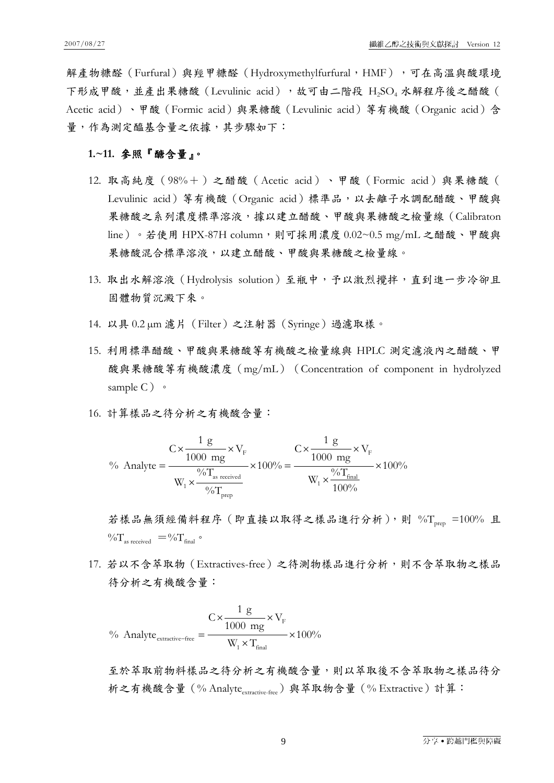解產物糠醛 (Furfural) 與羥甲糠醛 (Hydroxymethylfurfural, HMF) ,可在高溫與酸環境 下形成甲酸,並產出果糖酸(Levulinic acid),故可由二階段 H2SO4 水解程序後之醋酸( Acetic acid)、甲酸(Formic acid)與果糖酸(Levulinic acid)等有機酸(Organic acid)含 量,作為測定醯基含量之依據,其步驟如下:

#### **1.~11.** 參照『醣含量』。

- 12. 取高純度(98%+)之醋酸(Acetic acid)、甲酸(Formic acid)與果糖酸( Levulinic acid) 等有機酸 (Organic acid) 標準品, 以去離子水調配醋酸、甲酸與 果糖酸之系列濃度標準溶液,據以建立醋酸、甲酸與果糖酸之檢量線(Calibraton line)。若使用 HPX-87H column,則可採用濃度 0.02~0.5 mg/mL 之醋酸、甲酸與 果糖酸混合標準溶液,以建立醋酸、甲酸與果糖酸之檢量線。
- 13. 取出水解溶液(Hydrolysis solution)至瓶中,予以激烈攪拌,直到進一步冷卻且 固體物質沉澱下來。
- 14. 以具 0.2 µm 濾片(Filter)之注射器(Syringe)過濾取樣。
- 15. 利用標準醋酸、甲酸與果糖酸等有機酸之檢量線與 HPLC 測定濾液內之醋酸、甲 酸與果糖酸等有機酸濃度(mg/mL)(Concentration of component in hydrolyzed sample  $C$ )  $\circ$
- 16. 計算樣品之待分析之有機酸含量:

$$
\% \text{ Analyte} = \frac{C \times \frac{1 \text{ g}}{1000 \text{ mg}} \times V_{\text{F}}}{W_{1} \times \frac{\frac{9}{6} \text{T}_{\text{as received}}}{\frac{9}{6} \text{T}_{\text{prep}}} \times 100\% = \frac{C \times \frac{1 \text{ g}}{1000 \text{ mg}} \times V_{\text{F}}}{W_{1} \times \frac{\frac{9}{6} \text{T}_{\text{final}}}{100\%}} \times 100\%
$$

若樣品無須經備料程序 (即直接以取得之樣品進行分析),則 %Trep =100% 且  $\%T_{\text{as received}} = \%T_{\text{final}}$ 

17. 若以不含萃取物(Extractives-free)之待測物樣品進行分析,則不含萃取物之樣品 待分析之有機酸含量:

$$
\% \ \ \text{Analyte}_{\text{extractive-free}} = \frac{C \times \frac{1 \ \text{g}}{1000 \ \text{mg}} \times V_{\text{F}}}{W_{\text{i}} \times T_{\text{final}}} \times 100\%
$$

至於萃取前物料樣品之待分析之有機酸含量,則以萃取後不含萃取物之樣品待分 析之有機酸含量 (% Analyte<sub>extractive-free</sub>) 與萃取物含量 (% Extractive) 計算: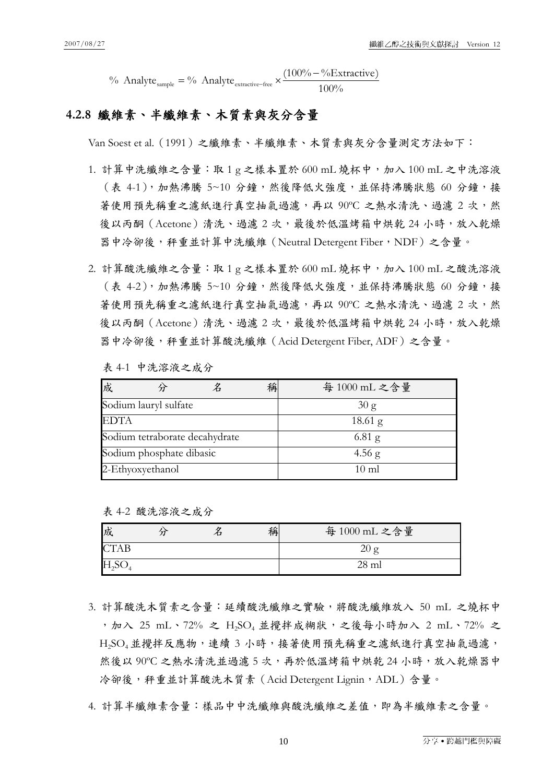% Analyte  $_{\text{sample}} = \%$  Analyte  $_{\text{extractive-free}} \times \frac{(100\% - \% \text{Extractive})}{100\%}$ 

## **4.2.8** 纖維素、半纖維素、木質素與灰分含量

Van Soest et al.(1991)之纖維素、半纖維素、木質素與灰分含量測定方法如下:

- 1. 計算中洗纖維之含量:取 1 g 之樣本置於 600 mL 燒杯中,加入 100 mL 之中洗溶液 (表 4-1), 加熱沸騰 5~10 分鐘, 然後降低火強度, 並保持沸騰狀態 60 分鐘,接 著使用預先稱重之濾紙進行真空抽氣過濾,再以 90°C 之熱水清洗、過濾 2 次,然 後以丙酮 (Acetone) 清洗、過濾 2 次, 最後於低溫烤箱中烘乾 24 小時,放入乾燥 器中冷卻後,秤重並計算中洗纖維(Neutral Detergent Fiber,NDF)之含量。
- 2. 計算酸洗纖維之含量:取1g之樣本置於 600 mL 燒杯中,加入100 mL 之酸洗溶液 (表 4-2),加熱沸騰 5~10 分鐘,然後降低火強度,並保持沸騰狀態 60 分鐘,接 著使用預先稱重之濾紙進行真空抽氣過濾,再以 90°C 之熱水清洗、過濾 2 次,然 後以丙酮(Acetone)清洗、過濾2次,最後於低溫烤箱中烘乾 24 小時,放入乾燥 器中冷卻後,秤重並計算酸洗纖維(Acid Detergent Fiber, ADF)之含量。
	- 表 4-1 中洗溶液之成分

| 成                              |                          |  | 稱 | 每 1000 mL 之含量   |
|--------------------------------|--------------------------|--|---|-----------------|
| Sodium lauryl sulfate          |                          |  |   | 30 g            |
| <b>EDTA</b>                    |                          |  |   | $18.61$ g       |
| Sodium tetraborate decahydrate |                          |  |   | $6.81$ g        |
|                                | Sodium phosphate dibasic |  |   | 4.56 g          |
| 2-Ethyoxyethanol               |                          |  |   | $10 \text{ ml}$ |

表 4-2 酸洗溶液之成分

| 成                 |  | 稱 | 每 1000 mL 之含量 |
|-------------------|--|---|---------------|
| <b>CTAB</b>       |  |   | 20 g          |
| H <sub>2</sub> SO |  |   | $28$ ml       |

- 3. 計算酸洗木質素之含量:延續酸洗纖維之實驗,將酸洗纖維放入 50 mL 之燒杯中 , 加入 25 mL、72% 之 H<sub>2</sub>SO<sub>4</sub> 並攪拌成糊狀, 之後每小時加入 2 mL、72% 之 H<sub>2</sub>SO<sub>4</sub>並攪拌反應物,連續 3 小時,接著使用預先稱重之濾紙進行真空抽氣過濾, 然後以 90℃ 之熱水清洗並過濾 5 次,再於低溫烤箱中烘乾 24 小時,放入乾燥器中 冷卻後,秤重並計算酸洗木質素 (Acid Detergent Lignin, ADL)含量。
- 4. 計算半纖維素含量:樣品中中洗纖維與酸洗纖維之差值,即為半纖維素之含量。